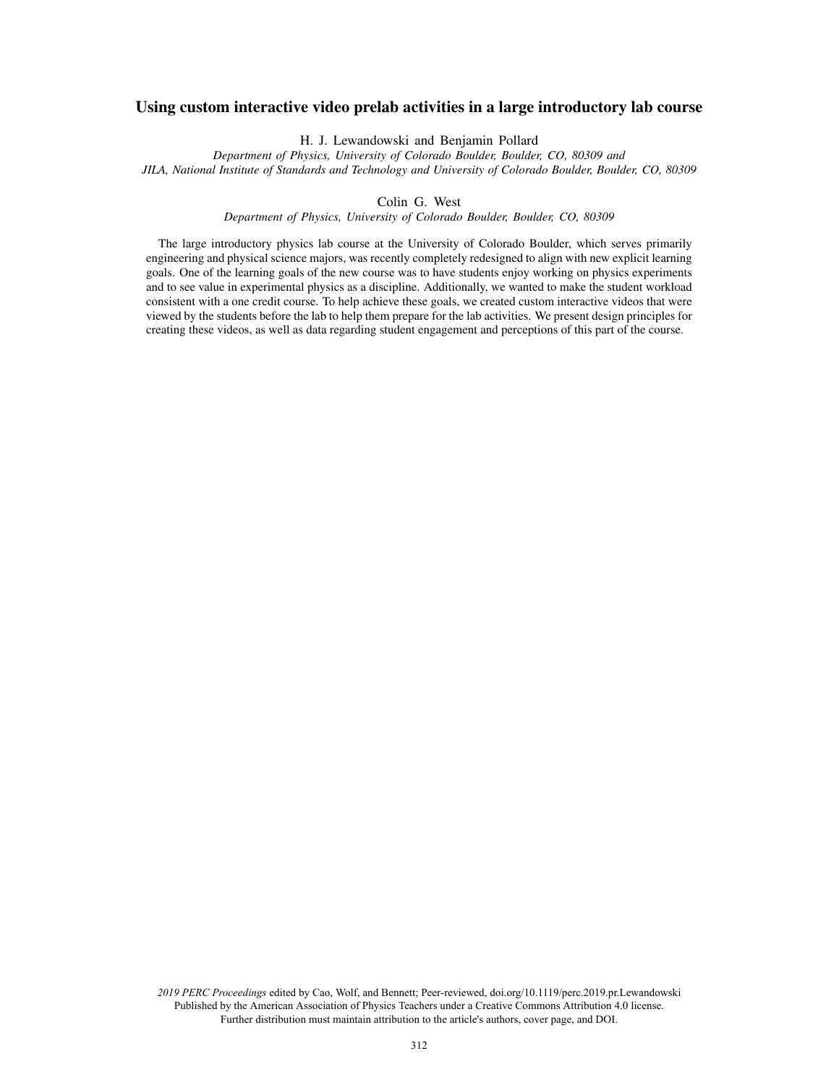# Using custom interactive video prelab activities in a large introductory lab course

H. J. Lewandowski and Benjamin Pollard

*Department of Physics, University of Colorado Boulder, Boulder, CO, 80309 and JILA, National Institute of Standards and Technology and University of Colorado Boulder, Boulder, CO, 80309*

Colin G. West

*Department of Physics, University of Colorado Boulder, Boulder, CO, 80309*

The large introductory physics lab course at the University of Colorado Boulder, which serves primarily engineering and physical science majors, was recently completely redesigned to align with new explicit learning goals. One of the learning goals of the new course was to have students enjoy working on physics experiments and to see value in experimental physics as a discipline. Additionally, we wanted to make the student workload consistent with a one credit course. To help achieve these goals, we created custom interactive videos that were viewed by the students before the lab to help them prepare for the lab activities. We present design principles for creating these videos, as well as data regarding student engagement and perceptions of this part of the course.

*2019 PERC Proceedings* edited by Cao, Wolf, and Bennett; Peer-reviewed, doi.org/10.1119/perc.2019.pr.Lewandowski Published by the American Association of Physics Teachers under a Creative Commons Attribution 4.0 license. Further distribution must maintain attribution to the article's authors, cover page, and DOI.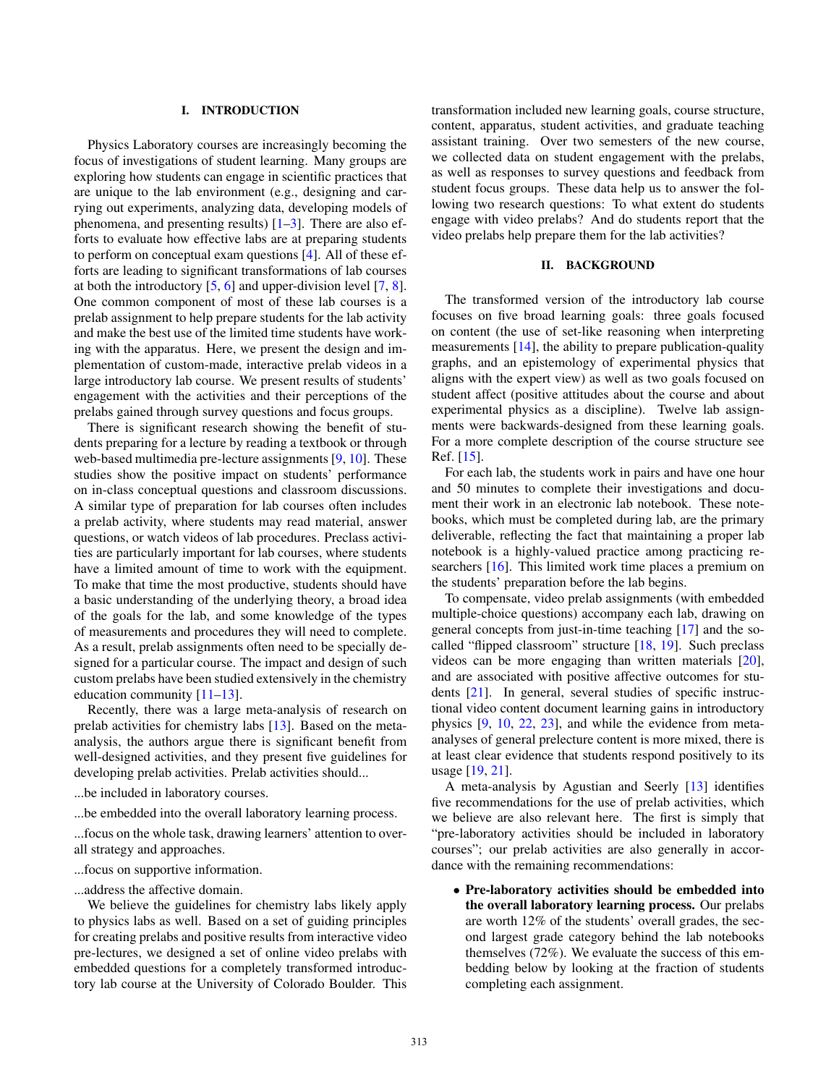#### I. INTRODUCTION

Physics Laboratory courses are increasingly becoming the focus of investigations of student learning. Many groups are exploring how students can engage in scientific practices that are unique to the lab environment (e.g., designing and carrying out experiments, analyzing data, developing models of phenomena, and presenting results)  $[1-3]$ . There are also efforts to evaluate how effective labs are at preparing students to perform on conceptual exam questions [4]. All of these efforts are leading to significant transformations of lab courses at both the introductory [5, 6] and upper-division level [7, 8]. One common component of most of these lab courses is a prelab assignment to help prepare students for the lab activity and make the best use of the limited time students have working with the apparatus. Here, we present the design and implementation of custom-made, interactive prelab videos in a large introductory lab course. We present results of students' engagement with the activities and their perceptions of the prelabs gained through survey questions and focus groups.

There is significant research showing the benefit of students preparing for a lecture by reading a textbook or through web-based multimedia pre-lecture assignments [9, 10]. These studies show the positive impact on students' performance on in-class conceptual questions and classroom discussions. A similar type of preparation for lab courses often includes a prelab activity, where students may read material, answer questions, or watch videos of lab procedures. Preclass activities are particularly important for lab courses, where students have a limited amount of time to work with the equipment. To make that time the most productive, students should have a basic understanding of the underlying theory, a broad idea of the goals for the lab, and some knowledge of the types of measurements and procedures they will need to complete. As a result, prelab assignments often need to be specially designed for a particular course. The impact and design of such custom prelabs have been studied extensively in the chemistry education community [11–13].

Recently, there was a large meta-analysis of research on prelab activities for chemistry labs [13]. Based on the metaanalysis, the authors argue there is significant benefit from well-designed activities, and they present five guidelines for developing prelab activities. Prelab activities should...

- ...be included in laboratory courses.
- ...be embedded into the overall laboratory learning process.

...focus on the whole task, drawing learners' attention to overall strategy and approaches.

- ...focus on supportive information.
- ...address the affective domain.

We believe the guidelines for chemistry labs likely apply to physics labs as well. Based on a set of guiding principles for creating prelabs and positive results from interactive video pre-lectures, we designed a set of online video prelabs with embedded questions for a completely transformed introductory lab course at the University of Colorado Boulder. This transformation included new learning goals, course structure, content, apparatus, student activities, and graduate teaching assistant training. Over two semesters of the new course, we collected data on student engagement with the prelabs, as well as responses to survey questions and feedback from student focus groups. These data help us to answer the following two research questions: To what extent do students engage with video prelabs? And do students report that the video prelabs help prepare them for the lab activities?

## II. BACKGROUND

The transformed version of the introductory lab course focuses on five broad learning goals: three goals focused on content (the use of set-like reasoning when interpreting measurements [14], the ability to prepare publication-quality graphs, and an epistemology of experimental physics that aligns with the expert view) as well as two goals focused on student affect (positive attitudes about the course and about experimental physics as a discipline). Twelve lab assignments were backwards-designed from these learning goals. For a more complete description of the course structure see Ref. [15].

For each lab, the students work in pairs and have one hour and 50 minutes to complete their investigations and document their work in an electronic lab notebook. These notebooks, which must be completed during lab, are the primary deliverable, reflecting the fact that maintaining a proper lab notebook is a highly-valued practice among practicing researchers [16]. This limited work time places a premium on the students' preparation before the lab begins.

To compensate, video prelab assignments (with embedded multiple-choice questions) accompany each lab, drawing on general concepts from just-in-time teaching [17] and the socalled "flipped classroom" structure [18, 19]. Such preclass videos can be more engaging than written materials [20], and are associated with positive affective outcomes for students [21]. In general, several studies of specific instructional video content document learning gains in introductory physics [9, 10, 22, 23], and while the evidence from metaanalyses of general prelecture content is more mixed, there is at least clear evidence that students respond positively to its usage [19, 21].

A meta-analysis by Agustian and Seerly [13] identifies five recommendations for the use of prelab activities, which we believe are also relevant here. The first is simply that "pre-laboratory activities should be included in laboratory courses"; our prelab activities are also generally in accordance with the remaining recommendations:

• Pre-laboratory activities should be embedded into the overall laboratory learning process. Our prelabs are worth 12% of the students' overall grades, the second largest grade category behind the lab notebooks themselves (72%). We evaluate the success of this embedding below by looking at the fraction of students completing each assignment.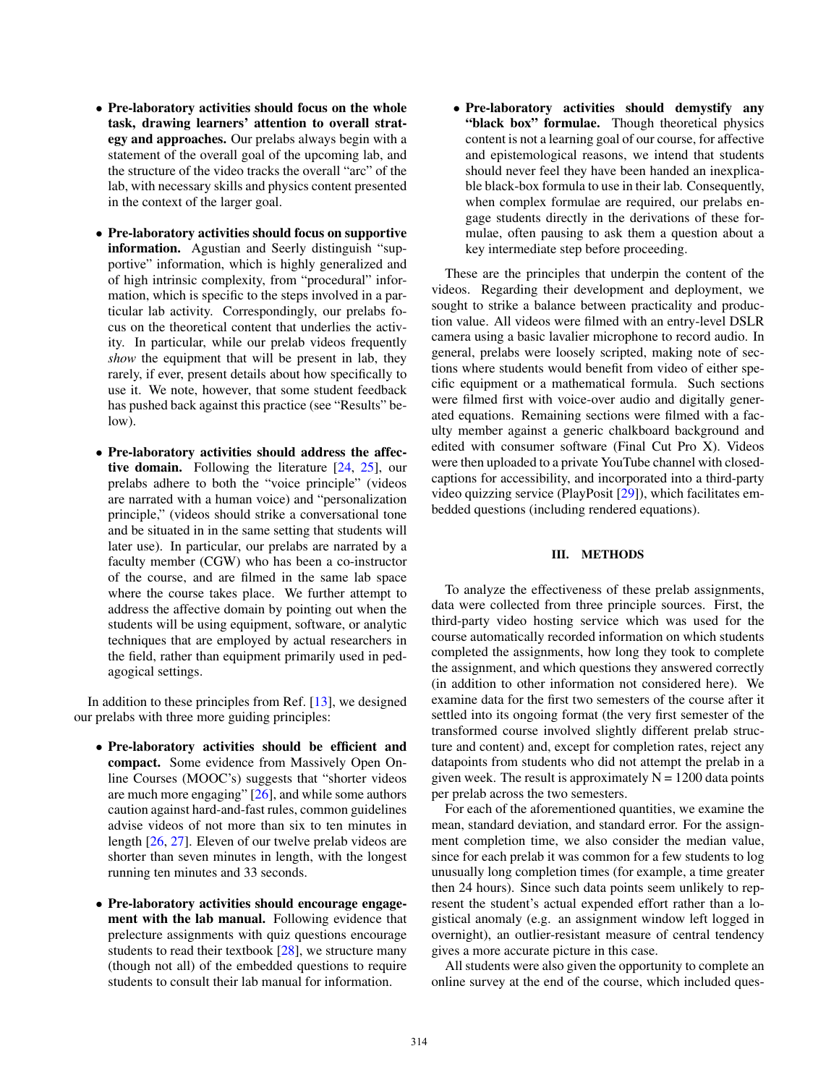- Pre-laboratory activities should focus on the whole task, drawing learners' attention to overall strategy and approaches. Our prelabs always begin with a statement of the overall goal of the upcoming lab, and the structure of the video tracks the overall "arc" of the lab, with necessary skills and physics content presented in the context of the larger goal.
- Pre-laboratory activities should focus on supportive information. Agustian and Seerly distinguish "supportive" information, which is highly generalized and of high intrinsic complexity, from "procedural" information, which is specific to the steps involved in a particular lab activity. Correspondingly, our prelabs focus on the theoretical content that underlies the activity. In particular, while our prelab videos frequently *show* the equipment that will be present in lab, they rarely, if ever, present details about how specifically to use it. We note, however, that some student feedback has pushed back against this practice (see "Results" below).
- Pre-laboratory activities should address the affective domain. Following the literature  $[24, 25]$ , our prelabs adhere to both the "voice principle" (videos are narrated with a human voice) and "personalization principle," (videos should strike a conversational tone and be situated in in the same setting that students will later use). In particular, our prelabs are narrated by a faculty member (CGW) who has been a co-instructor of the course, and are filmed in the same lab space where the course takes place. We further attempt to address the affective domain by pointing out when the students will be using equipment, software, or analytic techniques that are employed by actual researchers in the field, rather than equipment primarily used in pedagogical settings.

In addition to these principles from Ref. [13], we designed our prelabs with three more guiding principles:

- Pre-laboratory activities should be efficient and compact. Some evidence from Massively Open Online Courses (MOOC's) suggests that "shorter videos are much more engaging" [26], and while some authors caution against hard-and-fast rules, common guidelines advise videos of not more than six to ten minutes in length [26, 27]. Eleven of our twelve prelab videos are shorter than seven minutes in length, with the longest running ten minutes and 33 seconds.
- Pre-laboratory activities should encourage engagement with the lab manual. Following evidence that prelecture assignments with quiz questions encourage students to read their textbook [28], we structure many (though not all) of the embedded questions to require students to consult their lab manual for information.

• Pre-laboratory activities should demystify any "black box" formulae. Though theoretical physics content is not a learning goal of our course, for affective and epistemological reasons, we intend that students should never feel they have been handed an inexplicable black-box formula to use in their lab. Consequently, when complex formulae are required, our prelabs engage students directly in the derivations of these formulae, often pausing to ask them a question about a key intermediate step before proceeding.

These are the principles that underpin the content of the videos. Regarding their development and deployment, we sought to strike a balance between practicality and production value. All videos were filmed with an entry-level DSLR camera using a basic lavalier microphone to record audio. In general, prelabs were loosely scripted, making note of sections where students would benefit from video of either specific equipment or a mathematical formula. Such sections were filmed first with voice-over audio and digitally generated equations. Remaining sections were filmed with a faculty member against a generic chalkboard background and edited with consumer software (Final Cut Pro X). Videos were then uploaded to a private YouTube channel with closedcaptions for accessibility, and incorporated into a third-party video quizzing service (PlayPosit [29]), which facilitates embedded questions (including rendered equations).

## III. METHODS

To analyze the effectiveness of these prelab assignments, data were collected from three principle sources. First, the third-party video hosting service which was used for the course automatically recorded information on which students completed the assignments, how long they took to complete the assignment, and which questions they answered correctly (in addition to other information not considered here). We examine data for the first two semesters of the course after it settled into its ongoing format (the very first semester of the transformed course involved slightly different prelab structure and content) and, except for completion rates, reject any datapoints from students who did not attempt the prelab in a given week. The result is approximately  $N = 1200$  data points per prelab across the two semesters.

For each of the aforementioned quantities, we examine the mean, standard deviation, and standard error. For the assignment completion time, we also consider the median value, since for each prelab it was common for a few students to log unusually long completion times (for example, a time greater then 24 hours). Since such data points seem unlikely to represent the student's actual expended effort rather than a logistical anomaly (e.g. an assignment window left logged in overnight), an outlier-resistant measure of central tendency gives a more accurate picture in this case.

All students were also given the opportunity to complete an online survey at the end of the course, which included ques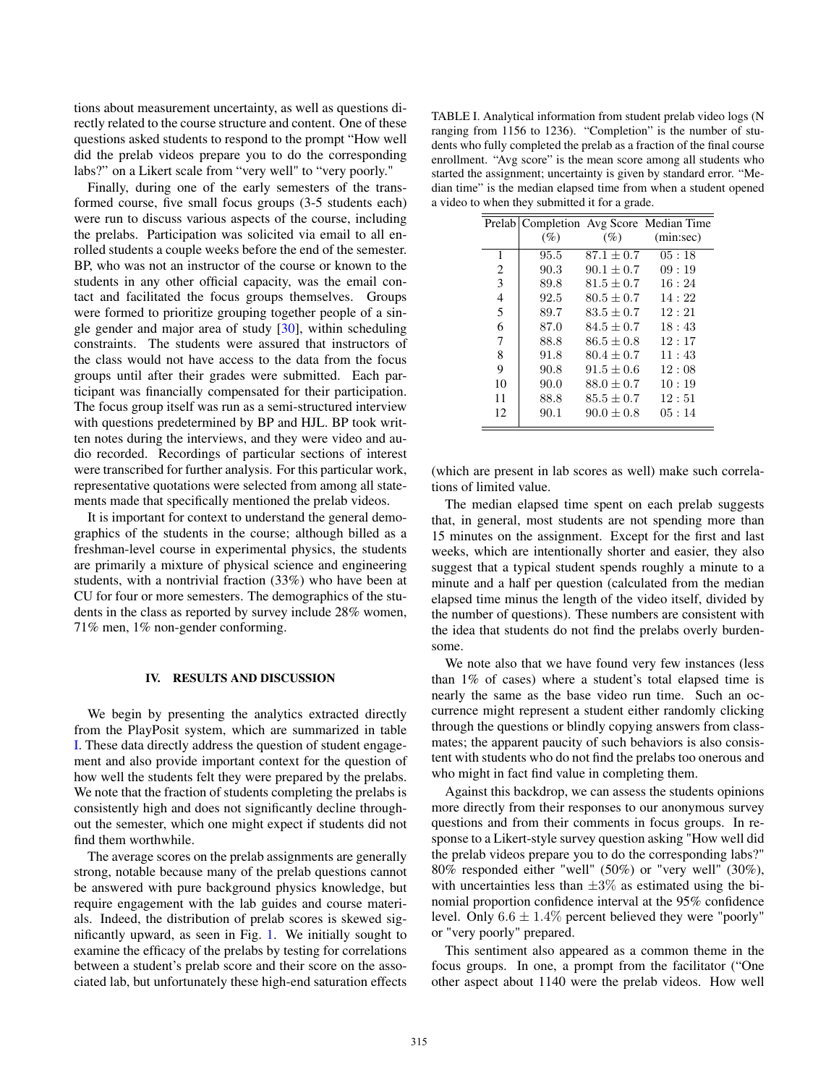tions about measurement uncertainty, as well as questions directly related to the course structure and content. One of these questions asked students to respond to the prompt "How well did the prelab videos prepare you to do the corresponding labs?" on a Likert scale from "very well" to "very poorly."

Finally, during one of the early semesters of the transformed course, five small focus groups (3-5 students each) were run to discuss various aspects of the course, including the prelabs. Participation was solicited via email to all enrolled students a couple weeks before the end of the semester. BP, who was not an instructor of the course or known to the students in any other official capacity, was the email contact and facilitated the focus groups themselves. Groups were formed to prioritize grouping together people of a single gender and major area of study [30], within scheduling constraints. The students were assured that instructors of the class would not have access to the data from the focus groups until after their grades were submitted. Each participant was financially compensated for their participation. The focus group itself was run as a semi-structured interview with questions predetermined by BP and HJL. BP took written notes during the interviews, and they were video and audio recorded. Recordings of particular sections of interest were transcribed for further analysis. For this particular work, representative quotations were selected from among all statements made that specifically mentioned the prelab videos.

It is important for context to understand the general demographics of the students in the course; although billed as a freshman-level course in experimental physics, the students are primarily a mixture of physical science and engineering students, with a nontrivial fraction (33%) who have been at CU for four or more semesters. The demographics of the students in the class as reported by survey include 28% women, 71% men, 1% non-gender conforming.

#### IV. RESULTS AND DISCUSSION

We begin by presenting the analytics extracted directly from the PlayPosit system, which are summarized in table [I.](#page-3-0) These data directly address the question of student engagement and also provide important context for the question of how well the students felt they were prepared by the prelabs. We note that the fraction of students completing the prelabs is consistently high and does not significantly decline throughout the semester, which one might expect if students did not find them worthwhile.

The average scores on the prelab assignments are generally strong, notable because many of the prelab questions cannot be answered with pure background physics knowledge, but require engagement with the lab guides and course materials. Indeed, the distribution of prelab scores is skewed significantly upward, as seen in Fig. 1. We initially sought to examine the efficacy of the prelabs by testing for correlations between a student's prelab score and their score on the associated lab, but unfortunately these high-end saturation effects

<span id="page-3-0"></span>TABLE I. Analytical information from student prelab video logs (N ranging from 1156 to 1236). "Completion" is the number of students who fully completed the prelab as a fraction of the final course enrollment. "Avg score" is the mean score among all students who started the assignment; uncertainty is given by standard error. "Median time" is the median elapsed time from when a student opened a video to when they submitted it for a grade.

|                |      |                | Prelab   Completion Avg Score Median Time |
|----------------|------|----------------|-------------------------------------------|
|                | (%)  | (% )           | (min:sec)                                 |
| 1              | 95.5 | $87.1 \pm 0.7$ | 05:18                                     |
| 2              | 90.3 | $90.1 + 0.7$   | 09:19                                     |
| 3              | 89.8 | $81.5 + 0.7$   | 16:24                                     |
| $\overline{4}$ | 92.5 | $80.5 + 0.7$   | 14:22                                     |
| 5              | 89.7 | $83.5 + 0.7$   | 12:21                                     |
| 6              | 87.0 | $84.5 + 0.7$   | 18:43                                     |
| 7              | 88.8 | $86.5 + 0.8$   | 12:17                                     |
| 8              | 91.8 | $80.4 + 0.7$   | 11:43                                     |
| 9              | 90.8 | $91.5 \pm 0.6$ | 12:08                                     |
| 10             | 90.0 | $88.0 + 0.7$   | 10:19                                     |
| 11             | 88.8 | $85.5 + 0.7$   | 12:51                                     |
| 12             | 90.1 | $90.0 + 0.8$   | 0.5:14                                    |

(which are present in lab scores as well) make such correlations of limited value.

The median elapsed time spent on each prelab suggests that, in general, most students are not spending more than 15 minutes on the assignment. Except for the first and last weeks, which are intentionally shorter and easier, they also suggest that a typical student spends roughly a minute to a minute and a half per question (calculated from the median elapsed time minus the length of the video itself, divided by the number of questions). These numbers are consistent with the idea that students do not find the prelabs overly burdensome.

We note also that we have found very few instances (less than 1% of cases) where a student's total elapsed time is nearly the same as the base video run time. Such an occurrence might represent a student either randomly clicking through the questions or blindly copying answers from classmates; the apparent paucity of such behaviors is also consistent with students who do not find the prelabs too onerous and who might in fact find value in completing them.

Against this backdrop, we can assess the students opinions more directly from their responses to our anonymous survey questions and from their comments in focus groups. In response to a Likert-style survey question asking "How well did the prelab videos prepare you to do the corresponding labs?" 80% responded either "well" (50%) or "very well" (30%), with uncertainties less than  $\pm 3\%$  as estimated using the binomial proportion confidence interval at the 95% confidence level. Only  $6.6 \pm 1.4\%$  percent believed they were "poorly" or "very poorly" prepared.

This sentiment also appeared as a common theme in the focus groups. In one, a prompt from the facilitator ("One other aspect about 1140 were the prelab videos. How well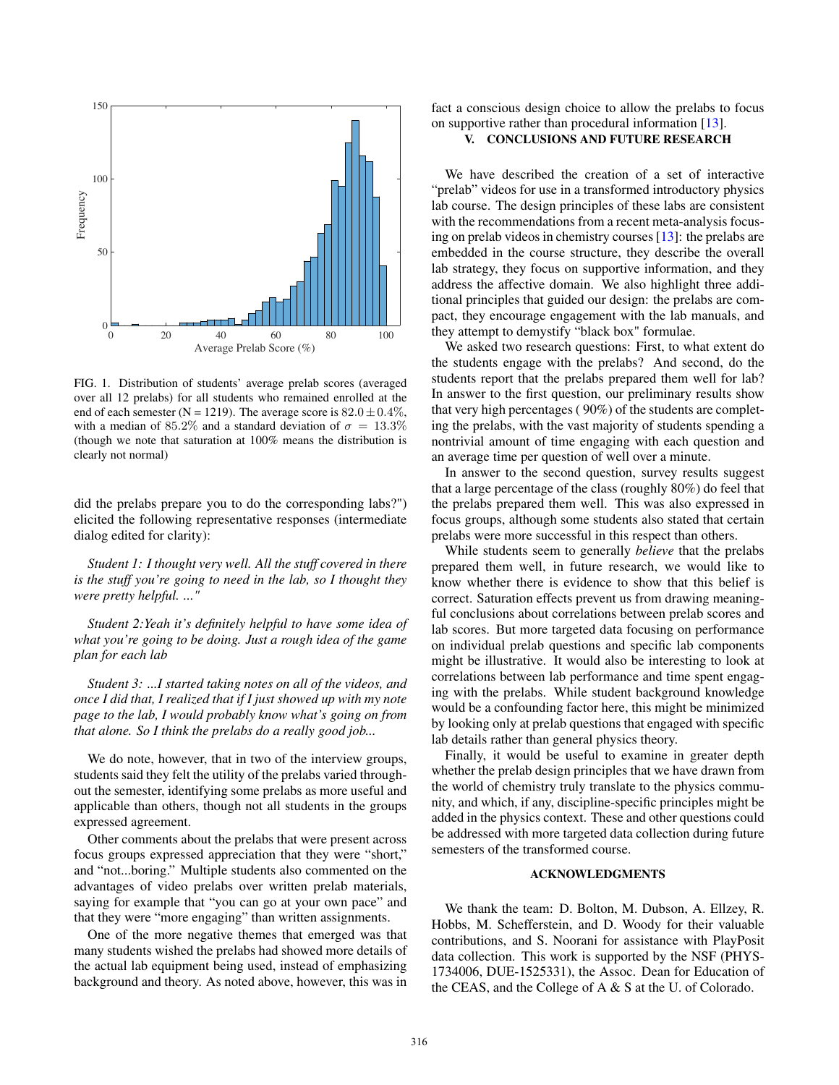

FIG. 1. Distribution of students' average prelab scores (averaged over all 12 prelabs) for all students who remained enrolled at the end of each semester (N = 1219). The average score is  $82.0 \pm 0.4\%$ , with a median of 85.2% and a standard deviation of  $\sigma = 13.3\%$ (though we note that saturation at 100% means the distribution is clearly not normal)

did the prelabs prepare you to do the corresponding labs?") elicited the following representative responses (intermediate dialog edited for clarity):

*Student 1: I thought very well. All the stuff covered in there is the stuff you're going to need in the lab, so I thought they were pretty helpful. ..."*

*Student 2:Yeah it's definitely helpful to have some idea of what you're going to be doing. Just a rough idea of the game plan for each lab*

*Student 3: ...I started taking notes on all of the videos, and once I did that, I realized that if I just showed up with my note page to the lab, I would probably know what's going on from that alone. So I think the prelabs do a really good job...*

We do note, however, that in two of the interview groups, students said they felt the utility of the prelabs varied throughout the semester, identifying some prelabs as more useful and applicable than others, though not all students in the groups expressed agreement.

Other comments about the prelabs that were present across focus groups expressed appreciation that they were "short," and "not...boring." Multiple students also commented on the advantages of video prelabs over written prelab materials, saying for example that "you can go at your own pace" and that they were "more engaging" than written assignments.

One of the more negative themes that emerged was that many students wished the prelabs had showed more details of the actual lab equipment being used, instead of emphasizing background and theory. As noted above, however, this was in fact a conscious design choice to allow the prelabs to focus on supportive rather than procedural information [13].

# V. CONCLUSIONS AND FUTURE RESEARCH

We have described the creation of a set of interactive "prelab" videos for use in a transformed introductory physics lab course. The design principles of these labs are consistent with the recommendations from a recent meta-analysis focusing on prelab videos in chemistry courses [13]: the prelabs are embedded in the course structure, they describe the overall lab strategy, they focus on supportive information, and they address the affective domain. We also highlight three additional principles that guided our design: the prelabs are compact, they encourage engagement with the lab manuals, and they attempt to demystify "black box" formulae.

We asked two research questions: First, to what extent do the students engage with the prelabs? And second, do the students report that the prelabs prepared them well for lab? In answer to the first question, our preliminary results show that very high percentages ( 90%) of the students are completing the prelabs, with the vast majority of students spending a nontrivial amount of time engaging with each question and an average time per question of well over a minute.

In answer to the second question, survey results suggest that a large percentage of the class (roughly 80%) do feel that the prelabs prepared them well. This was also expressed in focus groups, although some students also stated that certain prelabs were more successful in this respect than others.

While students seem to generally *believe* that the prelabs prepared them well, in future research, we would like to know whether there is evidence to show that this belief is correct. Saturation effects prevent us from drawing meaningful conclusions about correlations between prelab scores and lab scores. But more targeted data focusing on performance on individual prelab questions and specific lab components might be illustrative. It would also be interesting to look at correlations between lab performance and time spent engaging with the prelabs. While student background knowledge would be a confounding factor here, this might be minimized by looking only at prelab questions that engaged with specific lab details rather than general physics theory.

Finally, it would be useful to examine in greater depth whether the prelab design principles that we have drawn from the world of chemistry truly translate to the physics community, and which, if any, discipline-specific principles might be added in the physics context. These and other questions could be addressed with more targeted data collection during future semesters of the transformed course.

## ACKNOWLEDGMENTS

We thank the team: D. Bolton, M. Dubson, A. Ellzey, R. Hobbs, M. Schefferstein, and D. Woody for their valuable contributions, and S. Noorani for assistance with PlayPosit data collection. This work is supported by the NSF (PHYS-1734006, DUE-1525331), the Assoc. Dean for Education of the CEAS, and the College of A & S at the U. of Colorado.